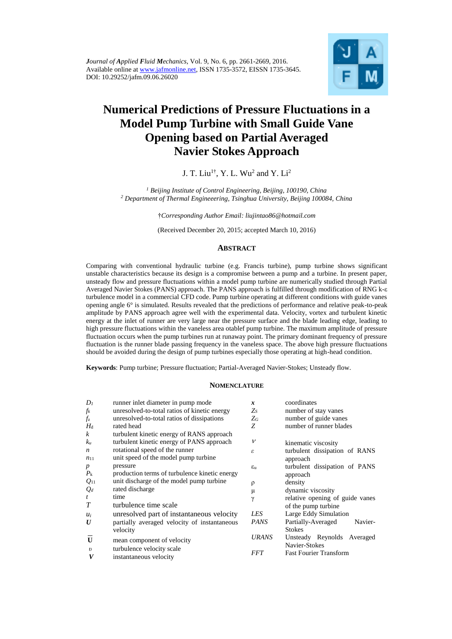

# **Numerical Predictions of Pressure Fluctuations in a Model Pump Turbine with Small Guide Vane Opening based on Partial Averaged Navier Stokes Approach**

# J. T. Liu<sup>1†</sup>, Y. L. Wu<sup>2</sup> and Y. Li<sup>2</sup>

*<sup>1</sup> Beijing Institute of Control Engineering, Beijing, 100190, China <sup>2</sup> Department of Thermal Engineeering, Tsinghua University, Beijing 100084, China*

†*Corresponding Author Email: liujintao86@hotmail.com*

(Received December 20, 2015; accepted March 10, 2016)

## **ABSTRACT**

Comparing with conventional hydraulic turbine (e.g. Francis turbine), pump turbine shows significant unstable characteristics because its design is a compromise between a pump and a turbine. In present paper, unsteady flow and pressure fluctuations within a model pump turbine are numerically studied through Partial Averaged Navier Stokes (PANS) approach. The PANS approach is fulfilled through modification of RNG k-ε turbulence model in a commercial CFD code. Pump turbine operating at different conditions with guide vanes opening angle 6° is simulated. Results revealed that the predictions of performance and relative peak-to-peak amplitude by PANS approach agree well with the experimental data. Velocity, vortex and turbulent kinetic energy at the inlet of runner are very large near the pressure surface and the blade leading edge, leading to high pressure fluctuations within the vaneless area otablef pump turbine. The maximum amplitude of pressure fluctuation occurs when the pump turbines run at runaway point. The primary dominant frequency of pressure fluctuation is the runner blade passing frequency in the vaneless space. The above high pressure fluctuations should be avoided during the design of pump turbines especially those operating at high-head condition.

**Keywords**: Pump turbine; Pressure fluctuation; Partial-Averaged Navier-Stokes; Unsteady flow.

#### **NOMENCLATURE**

| $D_I$<br>runner inlet diameter in pump mode<br>coordinates<br>x                             |                                 |
|---------------------------------------------------------------------------------------------|---------------------------------|
| $f_k$<br>unresolved-to-total ratios of kinetic energy<br>number of stay vanes<br>Zs         |                                 |
| $f_{\rm z}$<br>number of guide vanes<br>unresolved-to-total ratios of dissipations<br>$Z_G$ |                                 |
| $H_{\rm d}$<br>number of runner blades<br>Z<br>rated head                                   |                                 |
| $\boldsymbol{k}$<br>turbulent kinetic energy of RANS approach                               |                                 |
| turbulent kinetic energy of PANS approach<br>$\mathcal V$<br>$k_u$<br>kinematic viscosity   |                                 |
| rotational speed of the runner<br>n<br>ε                                                    | turbulent dissipation of RANS   |
| unit speed of the model pump turbine<br>$n_{11}$<br>approach                                |                                 |
| pressure<br>$\boldsymbol{p}$<br>$\varepsilon_{\rm u}$                                       | turbulent dissipation of PANS   |
| $P_{k}$<br>production terms of turbulence kinetic energy<br>approach                        |                                 |
| unit discharge of the model pump turbine<br>$Q_{11}$<br>density<br>ρ                        |                                 |
| rated discharge<br>$Q_d$<br>dynamic viscosity<br>μ                                          |                                 |
| time<br>$\mathfrak{t}$<br>γ                                                                 | relative opening of guide vanes |
| T<br>turbulence time scale<br>of the pump turbine                                           |                                 |
| Large Eddy Simulation<br>unresolved part of instantaneous velocity<br>LES<br>$u_i$          |                                 |
| <b>PANS</b><br>Partially-Averaged<br>partially averaged velocity of instantaneous<br>U      | Navier-                         |
| <b>Stokes</b><br>velocity                                                                   |                                 |
| <i><b>URANS</b></i><br>$\mathbf{U}$<br>mean component of velocity                           | Unsteady Reynolds Averaged      |
| Navier-Stokes<br>turbulence velocity scale<br>$\boldsymbol{v}$                              |                                 |
| <b>Fast Fourier Transform</b><br><i>FFT</i><br>V<br>instantaneous velocity                  |                                 |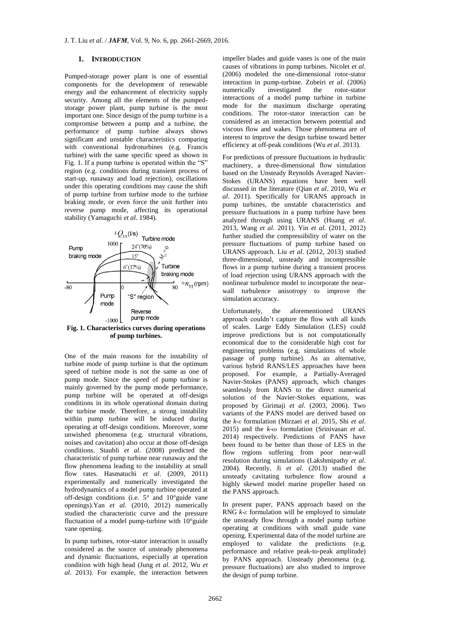#### **1. INTRODUCTION**

Pumped-storage power plant is one of essential components for the development of renewable energy and the enhancement of electricity supply security. Among all the elements of the pumpedstorage power plant, pump turbine is the most important one. Since design of the pump turbine is a compromise between a pump and a turbine, the performance of pump turbine always shows significant and unstable characteristics comparing with conventional hydroturbines (e.g. Francis turbine) with the same specific speed as shown in Fig. 1. If a pump turbine is operated within the "S" region (e.g. conditions during transient process of start-up, runaway and load rejection), oscillations under this operating conditions may cause the shift of pump turbine from turbine mode to the turbine braking mode, or even force the unit further into reverse pump mode, affecting its operational stability (Yamaguchi *et al*. 1984).



**Fig. 1. Characteristics curves during operations of pump turbines.**

One of the main reasons for the instability of turbine mode of pump turbine is that the optimum speed of turbine mode is not the same as one of pump mode. Since the speed of pump turbine is mainly governed by the pump mode performance, pump turbine will be operated at off-design conditions in its whole operational domain during the turbine mode. Therefore, a strong instability within pump turbine will be induced during operating at off-design conditions. Moreover, some unwished phenomena (e.g. structural vibrations, noises and cavitation) also occur at those off-design conditions. Staubli *et al*. (2008) predicted the characteristic of pump turbine near runaway and the flow phenomena leading to the instability at small flow rates. Hasmatuchi *et al*. (2009, 2011) experimentally and numerically investigated the hydrodynamics of a model pump turbine operated at off-design conditions (i.e. 5° and 10°guide vane openings).Yan *et al*. (2010, 2012) numerically studied the characteristic curve and the pressure fluctuation of a model pump-turbine with 10°guide vane opening.

In pump turbines, rotor-stator interaction is usually considered as the source of unsteady phenomena and dynamic fluctuations, especially at operation condition with high head (Jung *et al*. 2012, Wu *et al*. 2013). For example, the interaction between

impeller blades and guide vanes is one of the main causes of vibrations in pump turbines. Nicolet *et al*. (2006) modeled the one-dimensional rotor-stator interaction in pump-turbine. Zobeiri *et al*. (2006) numerically investigated the rotor-stator interactions of a model pump turbine in turbine mode for the maximum discharge operating conditions. The rotor-stator interaction can be considered as an interaction between potential and viscous flow and wakes. Those phenomena are of interest to improve the design turbine toward better efficiency at off-peak conditions (Wu *et al*. 2013).

For predictions of pressure fluctuations in hydraulic machinery, a three-dimensional flow simulation based on the Unsteady Reynolds Averaged Navier-Stokes (URANS) equations have been well discussed in the literature (Qian *et al*. 2010, Wu *et al*. 2011). Specifically for URANS approach in pump turbines, the unstable characteristics and pressure fluctuations in a pump turbine have been analyzed through using URANS (Huang *et al*. 2013, Wang *et al*. 2011). Yin *et al*. (2011, 2012) further studied the compressibility of water on the pressure fluctuations of pump turbine based on URANS approach. Liu *et al*. (2012, 2013) studied three-dimensional, unsteady and incompressible flows in a pump turbine during a transient process of load rejection using URANS approach with the nonlinear turbulence model to incorporate the nearwall turbulence anisotropy to improve the simulation accuracy.

Unfortunately, the aforementioned URANS approach couldn't capture the flow with all kinds of scales. Large Eddy Simulation (LES) could improve predictions but is not computationally economical due to the considerable high cost for engineering problems (e.g. simulations of whole passage of pump turbine). As an alternative, various hybrid RANS/LES approaches have been proposed. For example, a Partially-Averaged Navier-Stokes (PANS) approach, which changes seamlessly from RANS to the direct numerical solution of the Navier-Stokes equations, was proposed by Girimaji *et al*. (2003, 2006). Two variants of the PANS model are derived based on the *k-ε* formulation (Mirzaei *et al*. 2015, Shi *et al*. 2015) and the *k-ω* formulation (Srinivasan *et al*. 2014) respectively. Predictions of PANS have been found to be better than those of LES in the flow regions suffering from poor near-wall resolution during simulations (Lakshmipathy *et al*. 2004). Recently, Ji *et al*. (2013) studied the unsteady cavitating turbulence flow around a highly skewed model marine propeller based on the PANS approach.

In present paper, PANS approach based on the RNG *k-ε* formulation will be employed to simulate the unsteady flow through a model pump turbine operating at conditions with small guide vane opening. Experimental data of the model turbine are employed to validate the predictions (e.g. performance and relative peak-to-peak amplitude) by PANS approach. Unsteady phenomena (e.g. pressure fluctuations) are also studied to improve the design of pump turbine.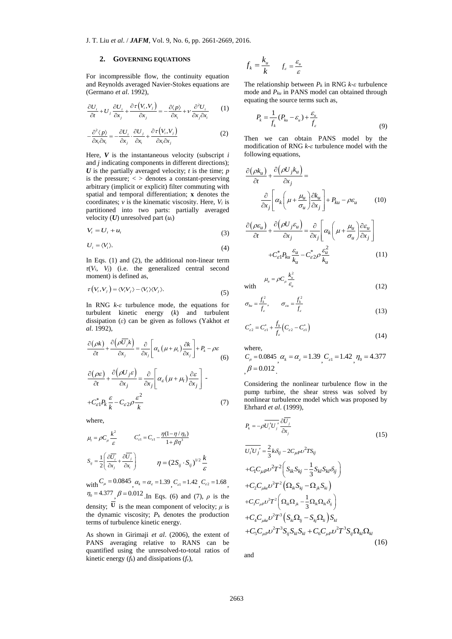#### **2. GOVERNING EQUATIONS**

For incompressible flow, the continuity equation and Reynolds averaged Navier-Stokes equations are (Germano *et al*. 1992),

$$
\frac{\partial U_i}{\partial t} + U_j \frac{\partial U_i}{\partial x_j} + \frac{\partial \tau (V_i, V_j)}{\partial x_j} = -\frac{\partial \langle p \rangle}{\partial x_i} + v \frac{\partial^2 U_i}{\partial x_j \partial x_i} \tag{1}
$$

$$
-\frac{\partial^2 \langle p \rangle}{\partial x_i \partial x_i} = -\frac{\partial U_i}{\partial x_j} \cdot \frac{\partial U_j}{\partial x_i} + \frac{\partial \tau (V_i, V_j)}{\partial x_i \partial x_j}
$$
(2)

Here, *V* is the instantaneous velocity (subscript *i* and *j* indicating components in different directions);  $U$  is the partially averaged velocity;  $t$  is the time;  $p$ is the pressure;  $\langle \rangle$  denotes a constant-preserving arbitrary (implicit or explicit) filter commuting with spatial and temporal differentiation; **x** denotes the coordinates;  $v$  is the kinematic viscosity. Here,  $V_i$  is partitioned into two parts: partially averaged velocity (*U*) unresolved part (*ui*)

$$
V_i = U_i + u_i \tag{3}
$$

$$
U_i = \langle V_i \rangle. \tag{4}
$$

In Eqs. (1) and (2), the additional non-linear term  $\tau(V_i, V_j)$  (i.e. the generalized central second moment) is defined as,

$$
\tau(V_i, V_j) = \langle V_i V_j \rangle - \langle V_i \rangle \langle V_j \rangle. \tag{5}
$$

In RNG *k-ε* turbulence mode, the equations for turbulent kinetic energy (*k*) and turbulent dissipation (*ε*) can be given as follows (Yakhot *et al*. 1992),

$$
\frac{\partial(\rho k)}{\partial t} + \frac{\partial(\rho \overline{U_j} k)}{\partial x_j} = \frac{\partial}{\partial x_j} \left[ \alpha_k (\mu + \mu_i) \frac{\partial k}{\partial x_j} \right] + P_k - \rho \varepsilon
$$
\n
$$
\frac{\partial(\rho \varepsilon)}{\partial t} + \frac{\partial(\rho U_j \varepsilon)}{\partial x_j} = \frac{\partial}{\partial x_j} \left[ \alpha_\varepsilon (\mu + \mu_i) \frac{\partial \varepsilon}{\partial x_j} \right] -
$$
\n
$$
+ C_{\varepsilon 1}^* P_k \frac{\varepsilon}{k} - C_{\varepsilon 2} \rho \frac{\varepsilon^2}{k}
$$
\n(7)

where,

$$
\mu_{t} = \rho C_{\mu} \frac{k^{2}}{\varepsilon} \qquad C_{\varepsilon 1}^{*} = C_{\varepsilon 1} - \frac{\eta (1 - \eta / \eta_{0})}{1 + \beta \eta^{3}}
$$

$$
S_{ij} = \frac{1}{2} \left( \frac{\partial \overline{U_{i}}}{\partial x_{j}} + \frac{\partial \overline{U_{j}}}{\partial x_{i}} \right) \qquad \eta = (2S_{ij} \cdot S_{ij})^{1/2} \frac{k}{\varepsilon}
$$

with  $C_{\mu} = 0.0845$ ,  $\alpha_{k} = \alpha_{\varepsilon} = 1.39$ ,  $C_{\varepsilon 1} = 1.42$ ,  $C_{\varepsilon 2} = 1.68$ ,  $\eta_0 = 4.377$ ,  $\beta = 0.012$  In Eqs. (6) and (7),  $\rho$  is the density; U is the mean component of velocity;  $\mu$  is the dynamic viscosity;  $P_k$  denotes the production terms of turbulence kinetic energy.

As shown in Girimaji *et al*. (2006), the extent of PANS averaging relative to RANS can be quantified using the unresolved-to-total ratios of kinetic energy  $(f_k)$  and dissipations  $(f_\epsilon)$ ,

$$
f_k = \frac{k_u}{k} \qquad f_{\varepsilon} = \frac{\varepsilon_u}{\varepsilon}
$$

The relationship between *P<sup>k</sup>* in RNG *k-ε* turbulence mode and *Pku* in PANS model can obtained through equating the source terms such as,

$$
P_k = \frac{1}{f_k} (P_{ku} - \varepsilon_u) + \frac{\varepsilon_u}{f_{\varepsilon}}
$$
\n(9)

Then we can obtain PANS model by the modification of RNG *k-ε* turbulence model with the following equations,

$$
\frac{\partial(\rho k_u)}{\partial t} + \frac{\partial(\rho U_j k_u)}{\partial x_j} =
$$
\n
$$
\frac{\partial}{\partial x_j} \left[ \alpha_k \left( \mu + \frac{\mu_u}{\sigma_u} \right) \frac{\partial k_u}{\partial x_j} \right] + P_{ku} - \rho \varepsilon_u \tag{10}
$$

$$
\frac{\partial(\rho \varepsilon_u)}{\partial t} + \frac{\partial(\rho U_j \varepsilon_u)}{\partial x_j} = \frac{\partial}{\partial x_j} \left[ \alpha_k \left( \mu + \frac{\mu_u}{\sigma_u} \right) \frac{\partial \varepsilon_u}{\partial x_j} \right]
$$

$$
+ C_{\varepsilon1}^* P_{ku} \frac{\varepsilon_u}{k_u} - C_{\varepsilon2}^* \rho \frac{\varepsilon_u^2}{k_u} \tag{11}
$$

with 
$$
\mu_u = \rho C_\mu \frac{k_u^2}{\varepsilon_u} \tag{12}
$$

$$
\sigma_{ku} = \frac{f_k^2}{f_s}, \qquad \sigma_{su} = \frac{f_k^2}{f_s}
$$
\n(13)

$$
C_{\varepsilon 2}^* = C_{\varepsilon 1}^* + \frac{f_k}{f_{\varepsilon}} \left( C_{\varepsilon 2} - C_{\varepsilon 1}^* \right)
$$
\n(14)

where,

$$
C_{\mu} = 0.0845
$$
,  $\alpha_{k} = \alpha_{s} = 1.39$ ,  $C_{s1} = 1.42$ ,  $\eta_{0} = 4.377$ ,  $\beta = 0.012$ .

Considering the nonlinear turbulence flow in the pump turbine, the shear stress was solved by nonlinear turbulence model which was proposed by Ehrhard *et al*. (1999),

$$
P_{k} = -\rho \overline{U'_{i}U'_{j}} \frac{\partial \overline{U_{j}}}{\partial x_{j}} \qquad (15)
$$
\n
$$
\overline{U'_{i}U'_{j}} = \frac{2}{3}k\delta_{ij} - 2C_{\mu}\rho\nu^{2}TS_{ij} \qquad (15)
$$
\n
$$
+ C_{1}C_{\mu}\rho\nu^{2}T^{2}\left(S_{ik}S_{kj} - \frac{1}{3}S_{kl}S_{kl}\delta_{ij}\right)
$$
\n
$$
+ C_{2}C_{\mu k} \nu^{2}T^{2}\left(\Omega_{ik}S_{kj} - \Omega_{jk}S_{kl}\right)
$$
\n
$$
+ C_{3}C_{\mu\nu}\nu^{2}T^{2}\left(\Omega_{ik}\Omega_{jk} - \frac{1}{3}\Omega_{ik}\Omega_{ik}\delta_{ij}\right)
$$
\n
$$
+ C_{4}C_{\mu k} \nu^{2}T^{3}\left(S_{kl}\Omega_{ij} - S_{kj}\Omega_{il}\right)S_{kl}
$$
\n
$$
+ C_{5}C_{\mu\nu}\nu^{2}T^{3}S_{ij}S_{kl}S_{kl} + C_{6}C_{\mu\nu}\nu^{2}T^{3}S_{ij}\Omega_{kl}\Omega_{kl} \qquad (16)
$$

and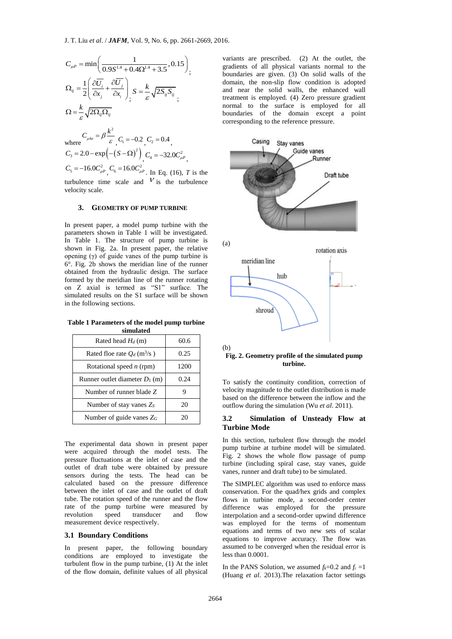$$
C_{\mu} = \min\left(\frac{1}{0.9S^{1.4} + 0.4\Omega^{1.4} + 3.5}, 0.15\right),
$$
  
\n
$$
\Omega_{ij} = \frac{1}{2}\left(\frac{\partial \overline{U_i}}{\partial x_j} + \frac{\partial \overline{U_j}}{\partial x_i}\right)_i S = \frac{k}{\varepsilon} \sqrt{2S_{ij}S_{ij}},
$$
  
\n
$$
\Omega = \frac{k}{\varepsilon} \sqrt{2\Omega_{ij}\Omega_{ij}}
$$
  
\nwhere  
\n
$$
C_{\mu k} = \beta \frac{k^2}{\varepsilon}, C_1 = -0.2, C_2 = 0.4,
$$

 $C_3 = 2.0 - \exp(-(\mathcal{S} - \Omega)^2)$ ,  $C_4 = -32.0 C_{\mu}^2$ ,  $C_5 = -16.0 C_{\mu}^2$ ,  $C_6 = 16.0 C_{\mu}^2$ . In Eq. (16), *T* is the

turbulence time scale and  $V$  is the turbulence velocity scale.

#### **3. GEOMETRY OF PUMP TURBINE**

In present paper, a model pump turbine with the parameters shown in Table 1 will be investigated. In Table 1. The structure of pump turbine is shown in Fig. 2a. In present paper, the relative opening (γ) of guide vanes of the pump turbine is 6°. Fig. 2b shows the meridian line of the runner obtained from the hydraulic design. The surface formed by the meridian line of the runner rotating on Z axial is termed as "S1" surface. The simulated results on the S1 surface will be shown in the following sections.

**Table 1 Parameters of the model pump turbine simulated**

| Rated head $H_d$ (m)                      | 60.6 |  |  |  |
|-------------------------------------------|------|--|--|--|
| Rated floe rate $O_d$ (m <sup>3</sup> /s) | 0.25 |  |  |  |
| Rotational speed $n$ (rpm)                | 1200 |  |  |  |
| Runner outlet diameter $D_1$ (m)          | 0.24 |  |  |  |
| Number of runner blade Z                  |      |  |  |  |
| Number of stay vanes $Z_s$                | 20   |  |  |  |
| Number of guide vanes $Z_G$               | 20   |  |  |  |

The experimental data shown in present paper were acquired through the model tests. The pressure fluctuations at the inlet of case and the outlet of draft tube were obtained by pressure sensors during the tests. The head can be calculated based on the pressure difference between the inlet of case and the outlet of draft tube. The rotation speed of the runner and the flow rate of the pump turbine were measured by revolution speed transducer and flow measurement device respectively.

### **3.1 Boundary Conditions**

In present paper, the following boundary conditions are employed to investigate the turbulent flow in the pump turbine, (1) At the inlet of the flow domain, definite values of all physical

variants are prescribed. (2) At the outlet, the gradients of all physical variants normal to the boundaries are given. (3) On solid walls of the domain, the non-slip flow condition is adopted and near the solid walls, the enhanced wall treatment is employed. (4) Zero pressure gradient normal to the surface is employed for all boundaries of the domain except a point corresponding to the reference pressure.



**Fig. 2. Geometry profile of the simulated pump turbine.**

To satisfy the continuity condition, correction of velocity magnitude to the outlet distribution is made based on the difference between the inflow and the outflow during the simulation (Wu *et al*. 2011).

#### **3.2 Simulation of Unsteady Flow at Turbine Mode**

In this section, turbulent flow through the model pump turbine at turbine model will be simulated. Fig. 2 shows the whole flow passage of pump turbine (including spiral case, stay vanes, guide vanes, runner and draft tube) to be simulated.

The SIMPLEC algorithm was used to enforce mass conservation. For the quad/hex grids and complex flows in turbine mode, a second-order center difference was employed for the pressure interpolation and a second-order upwind difference was employed for the terms of momentum equations and terms of two new sets of scalar equations to improve accuracy. The flow was assumed to be converged when the residual error is less than 0.0001.

In the PANS Solution, we assumed  $f_k=0.2$  and  $f_{\epsilon}=1$ (Huang *et al*. 2013).The relaxation factor settings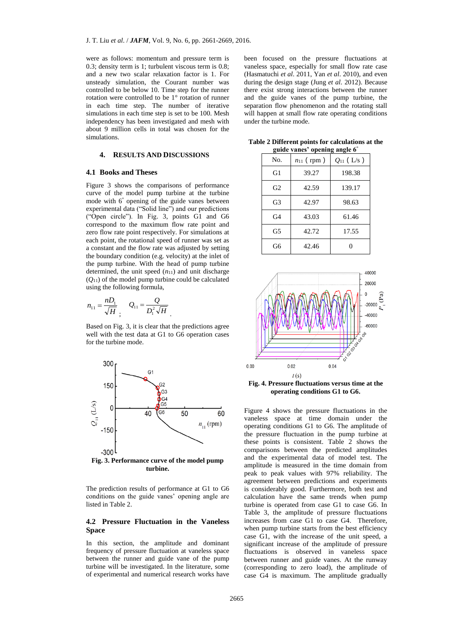were as follows: momentum and pressure term is 0.3; density term is 1; turbulent viscous term is 0.8; and a new two scalar relaxation factor is 1. For unsteady simulation, the Courant number was controlled to be below 10. Time step for the runner rotation were controlled to be 1° rotation of runner in each time step. The number of iterative simulations in each time step is set to be 100. Mesh independency has been investigated and mesh with about 9 million cells in total was chosen for the simulations.

### **4. RESULTS AND DISCUSSIONS**

#### **4.1 Books and Theses**

Figure 3 shows the comparisons of performance curve of the model pump turbine at the turbine mode with 6° opening of the guide vanes between experimental data ("Solid line") and our predictions ("Open circle"). In Fig. 3, points G1 and G6 correspond to the maximum flow rate point and zero flow rate point respectively. For simulations at each point, the rotational speed of runner was set as a constant and the flow rate was adjusted by setting the boundary condition (e.g. velocity) at the inlet of the pump turbine. With the head of pump turbine determined, the unit speed  $(n_{11})$  and unit discharge  $(O_{11})$  of the model pump turbine could be calculated using the following formula,

$$
n_{11} = \frac{nD_1}{\sqrt{H}} \, , \quad Q_{11} = \frac{Q}{D_1^2 \sqrt{H}} \, .
$$

Based on Fig. 3, it is clear that the predictions agree well with the test data at G1 to G6 operation cases for the turbine mode.



**Fig. 3. Performance curve of the model pump turbine.**

The prediction results of performance at G1 to G6 conditions on the guide vanes' opening angle are listed in Table 2.

#### **4.2 Pressure Fluctuation in the Vaneless Space**

In this section, the amplitude and dominant frequency of pressure fluctuation at vaneless space between the runner and guide vane of the pump turbine will be investigated. In the literature, some of experimental and numerical research works have

been focused on the pressure fluctuations at vaneless space, especially for small flow rate case (Hasmatuchi *et al*. 2011, Yan *et al*. 2010), and even during the design stage (Jung *et al*. 2012). Because there exist strong interactions between the runner and the guide vanes of the pump turbine, the separation flow phenomenon and the rotating stall will happen at small flow rate operating conditions under the turbine mode.

**Table 2 Different points for calculations at the guide vanes' opening angle 6°**

| No.            | $n_{11}$ (rpm) | $Q_{11}$ (L/s) |
|----------------|----------------|----------------|
| G1             | 39.27          | 198.38         |
| G2             | 42.59          | 139.17         |
| G3             | 42.97          | 98.63          |
| G <sub>4</sub> | 43.03          | 61.46          |
| G5             | 42.72          | 17.55          |
| G6             | 42.46          |                |



**operating conditions G1 to G6.**

Figure 4 shows the pressure fluctuations in the vaneless space at time domain under the operating conditions G1 to G6. The amplitude of the pressure fluctuation in the pump turbine at these points is consistent. Table 2 shows the comparisons between the predicted amplitudes and the experimental data of model test. The amplitude is measured in the time domain from peak to peak values with 97% reliability. The agreement between predictions and experiments is considerably good. Furthermore, both test and calculation have the same trends when pump turbine is operated from case G1 to case G6. In Table 3, the amplitude of pressure fluctuations increases from case G1 to case G4. Therefore, when pump turbine starts from the best efficiency case G1, with the increase of the unit speed, a significant increase of the amplitude of pressure fluctuations is observed in vaneless space between runner and guide vanes. At the runway (corresponding to zero load), the amplitude of case G4 is maximum. The amplitude gradually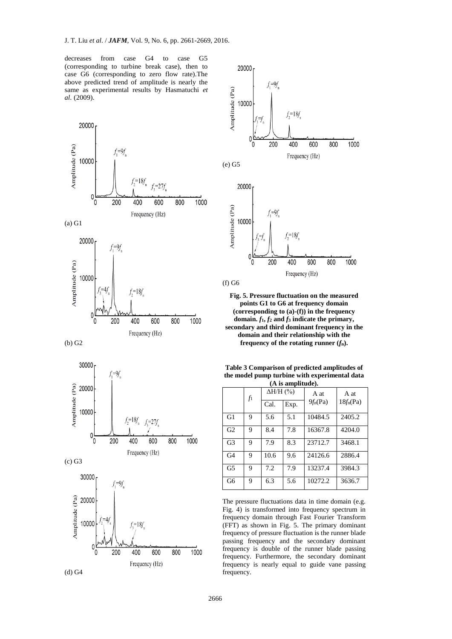decreases from case G4 to case G5 (corresponding to turbine break case), then to case G6 (corresponding to zero flow rate).The above predicted trend of amplitude is nearly the same as experimental results by Hasmatuchi *et al*. (2009).







(b) G2







**Fig. 5. Pressure fluctuation on the measured points G1 to G6 at frequency domain (corresponding to (a)-(f)) in the frequency**  domain.  $f_1, f_2$  and  $f_3$  indicate the primary, **secondary and third dominant frequency in the domain and their relationship with the frequency of the rotating runner (***f***n).**

**Table 3 Comparison of predicted amplitudes of the model pump turbine with experimental data (A is amplitude).**

| \ / 10 ашрица /, |    |                          |      |                    |                     |  |  |
|------------------|----|--------------------------|------|--------------------|---------------------|--|--|
|                  | fı | $\Delta H/H$ (%)<br>Cal. | Exp. | A at<br>$9f_n(Pa)$ | A at<br>$18f_n(Pa)$ |  |  |
| G1               | Q. | 5.6                      | 5.1  | 10484.5            | 2405.2              |  |  |
| G <sub>2</sub>   | 9  | 8.4                      | 7.8  | 16367.8            | 4204.0              |  |  |
| G <sub>3</sub>   | Q. | 7.9                      | 8.3  | 23712.7            | 3468.1              |  |  |
| G <sub>4</sub>   | 9  | 10.6                     | 9.6  | 24126.6            | 2886.4              |  |  |
| G <sub>5</sub>   | 9  | 7.2                      | 7.9  | 13237.4            | 3984.3              |  |  |
| G6               | 9  | 6.3                      | 5.6  | 10272.2            | 3636.7              |  |  |

The pressure fluctuations data in time domain (e.g. Fig. 4) is transformed into frequency spectrum in frequency domain through Fast Fourier Transform (FFT) as shown in Fig. 5. The primary dominant frequency of pressure fluctuation is the runner blade passing frequency and the secondary dominant frequency is double of the runner blade passing frequency. Furthermore, the secondary dominant frequency is nearly equal to guide vane passing frequency.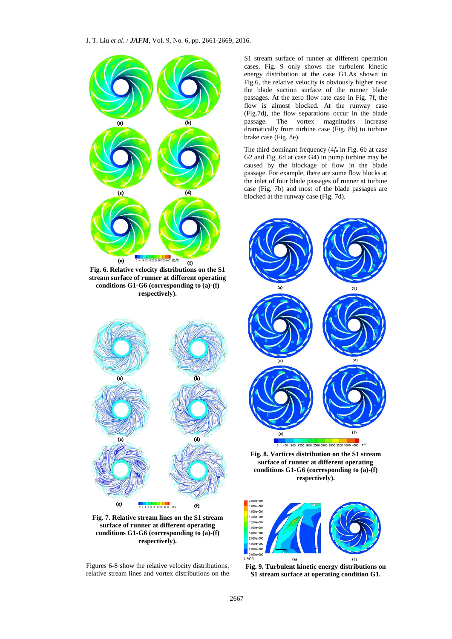#### J. T. Liu *et al*. / *JAFM*, Vol. 9, No. 6, pp. 2661-2669, 2016.



**Fig. 7. Relative stream lines on the S1 stream surface of runner at different operating conditions G1-G6 (corresponding to (a)-(f) respectively).**

Figures 6-8 show the relative velocity distributions, relative stream lines and vortex distributions on the S1 stream surface of runner at different operation cases. Fig. 9 only shows the turbulent kinetic energy distribution at the case G1.As shown in Fig.6, the relative velocity is obviously higher near the blade suction surface of the runner blade passages. At the zero flow rate case in Fig. 7f, the flow is almost blocked. At the runway case (Fig.7d), the flow separations occur in the blade passage. The vortex magnitudes increase dramatically from turbine case (Fig. 8b) to turbine brake case (Fig. 8e).

The third dominant frequency (4*f*<sup>n</sup> in Fig. 6b at case G2 and Fig. 6d at case G4) in pump turbine may be caused by the blockage of flow in the blade passage. For example, there are some flow blocks at the inlet of four blade passages of runner at turbine case (Fig. 7b) and most of the blade passages are blocked at the runway case (Fig. 7d).



**Fig. 8. Vortices distribution on the S1 stream surface of runner at different operating conditions G1-G6 (corresponding to (a)-(f) respectively).**



**Fig. 9. Turbulent kinetic energy distributions on S1 stream surface at operating condition G1.**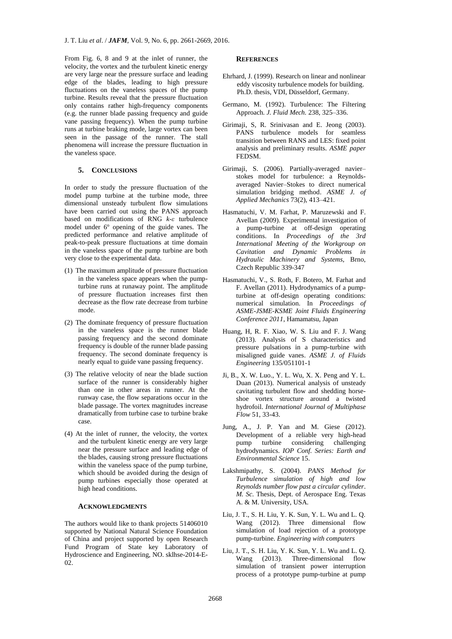From Fig. 6, 8 and 9 at the inlet of runner, the velocity, the vortex and the turbulent kinetic energy are very large near the pressure surface and leading edge of the blades, leading to high pressure fluctuations on the vaneless spaces of the pump turbine. Results reveal that the pressure fluctuation only contains rather high-frequency components (e.g. the runner blade passing frequency and guide vane passing frequency). When the pump turbine runs at turbine braking mode, large vortex can been seen in the passage of the runner. The stall phenomena will increase the pressure fluctuation in the vaneless space.

### **5. CONCLUSIONS**

In order to study the pressure fluctuation of the model pump turbine at the turbine mode, three dimensional unsteady turbulent flow simulations have been carried out using the PANS approach based on modifications of RNG *k-ε* turbulence model under 6° opening of the guide vanes. The predicted performance and relative amplitude of peak-to-peak pressure fluctuations at time domain in the vaneless space of the pump turbine are both very close to the experimental data.

- (1) The maximum amplitude of pressure fluctuation in the vaneless space appears when the pumpturbine runs at runaway point. The amplitude of pressure fluctuation increases first then decrease as the flow rate decrease from turbine mode.
- (2) The dominate frequency of pressure fluctuation in the vaneless space is the runner blade passing frequency and the second dominate frequency is double of the runner blade passing frequency. The second dominate frequency is nearly equal to guide vane passing frequency.
- (3) The relative velocity of near the blade suction surface of the runner is considerably higher than one in other areas in runner. At the runway case, the flow separations occur in the blade passage. The vortex magnitudes increase dramatically from turbine case to turbine brake case.
- (4) At the inlet of runner, the velocity, the vortex and the turbulent kinetic energy are very large near the pressure surface and leading edge of the blades, causing strong pressure fluctuations within the vaneless space of the pump turbine, which should be avoided during the design of pump turbines especially those operated at high head conditions.

#### **ACKNOWLEDGMENTS**

The authors would like to thank projects 51406010 supported by National Natural Science Foundation of China and project supported by open Research Fund Program of State key Laboratory of Hydroscience and Engineering, NO. sklhse-2014-E-02.

#### **REFERENCES**

- Ehrhard, J. (1999). Research on linear and nonlinear eddy viscosity turbulence models for building. Ph.D. thesis, VDI, Düsseldorf, Germany.
- Germano, M. (1992). Turbulence: The Filtering Approach*. J. Fluid Mech.* 238, 325–336.
- Girimaji, S, R. Srinivasan and E. Jeong (2003). PANS turbulence models for seamless transition between RANS and LES: fixed point analysis and preliminary results. *ASME paper* FEDSM.
- Girimaji, S. (2006). Partially-averaged navierstokes model for turbulence: a Reynoldsaveraged Navier–Stokes to direct numerical simulation bridging method. *ASME J. of Applied Mechanics* 73(2), 413–421.
- Hasmatuchi, V. M. Farhat, P. Maruzewski and F. Avellan (2009). Experimental investigation of a pump-turbine at off-design operating conditions. In *Proceedings of the 3rd International Meeting of the Workgroup on Cavitation and Dynamic Problems in Hydraulic Machinery and Systems*, Brno, Czech Republic 339-347
- Hasmatuchi, V., S. Roth, F. Botero, M. Farhat and F. Avellan (2011). Hydrodynamics of a pumpturbine at off-design operating conditions: numerical simulation. In *Proceedings of ASME-JSME-KSME Joint Fluids Engineering Conference 2011*, Hamamatsu, Japan
- Huang, H, R. F. Xiao, W. S. Liu and F. J. Wang (2013). Analysis of S characteristics and pressure pulsations in a pump-turbine with misaligned guide vanes. *ASME J. of Fluids Engineering* 135/051101-1
- Ji, B., X. W. Luo., Y. L. Wu, X. X. Peng and Y. L. Duan (2013). Numerical analysis of unsteady cavitating turbulent flow and shedding horseshoe vortex structure around a twisted hydrofoil. *International Journal of Multiphase Flow* 51, 33-43.
- Jung, A., J. P. Yan and M. Giese (2012). Development of a reliable very high-head pump turbine considering challenging hydrodynamics. *IOP Conf. Series: Earth and Environmental Science* 15.
- Lakshmipathy, S. (2004). *PANS Method for Turbulence simulation of high and low Reynolds number flow past a circular cylinder*. *M. Sc.* Thesis, Dept. of Aerospace Eng. Texas A. & M. University, USA.
- Liu, J. T., S. H. Liu, Y. K. Sun, Y. L. Wu and L. Q. Wang (2012). Three dimensional flow simulation of load rejection of a prototype pump-turbine. *Engineering with computers*
- Liu, J. T., S. H. Liu, Y. K. Sun, Y. L. Wu and L. Q. Wang (2013). Three-dimensional flow simulation of transient power interruption process of a prototype pump-turbine at pump